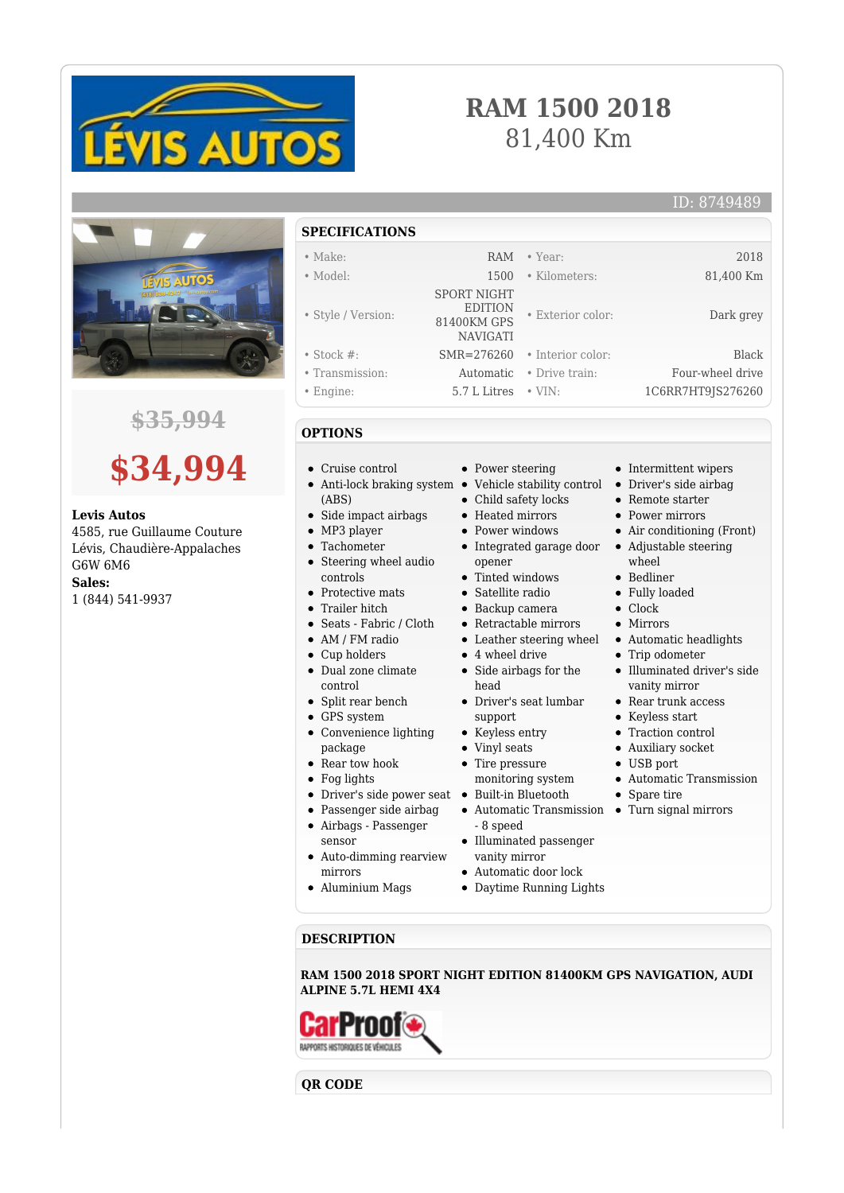

## **RAM 1500 2018** 81,400 Km

• Exterior color: Dark grey

• Intermittent wipers

• Air conditioning (Front)

Illuminated driver's side vanity mirror Rear trunk access Keyless start • Traction control Auxiliary socket USB port

Automatic Transmission

• Remote starter **Power mirrors** 

• Trip odometer

• Spare tire

wheel • Bedliner Fully loaded • Clock • Mirrors

Vehicle stability control Driver's side airbag

Integrated garage door Adjustable steering

Leather steering wheel • Automatic headlights

Automatic Transmission Turn signal mirrors



## **\$35,994**



## **Levis Autos**

4585, rue Guillaume Couture Lévis, Chaudière-Appalaches G6W 6M6 **Sales:**

1 (844) 541-9937

**SPECIFICATIONS**

 SPORT NIGHT EDITION 81400KM GPS NAVIGATI

• Power steering

Heated mirrors • Power windows

opener • Tinted windows Satellite radio Backup camera Retractable mirrors

4 wheel drive Side airbags for the

Driver's seat lumbar

head

support • Keyless entry • Vinyl seats • Tire pressure monitoring system

- Make: RAM Year: 2018 • Model: 1500 • Kilometers: 81,400 Km
- 
- Style / Version:
- 
- Stock #: SMR=276260 Interior color: Black
- Transmission: Automatic Drive train: Four-wheel drive
- Engine: 5.7 L Litres VIN: 1C6RR7HT9JS276260

## **OPTIONS**

- Cruise control
- Anti-lock braking system (ABS) Child safety locks
- Side impact airbags
- MP3 player
- Tachometer
- Steering wheel audio controls
- Protective mats
- Trailer hitch
- Seats Fabric / Cloth
- AM / FM radio
- Cup holders
- Dual zone climate control
- Split rear bench
- GPS system
- Convenience lighting package
- Rear tow hook
- Fog lights
- Driver's side power seat Built-in Bluetooth
- Passenger side airbag
- Airbags Passenger sensor
- Auto-dimming rearview mirrors
- Aluminium Mags
	- Daytime Running Lights
- vanity mirror

- 8 speed

Automatic door lock

Illuminated passenger

**DESCRIPTION**

**RAM 1500 2018 SPORT NIGHT EDITION 81400KM GPS NAVIGATION, AUDI ALPINE 5.7L HEMI 4X4**



**QR CODE**